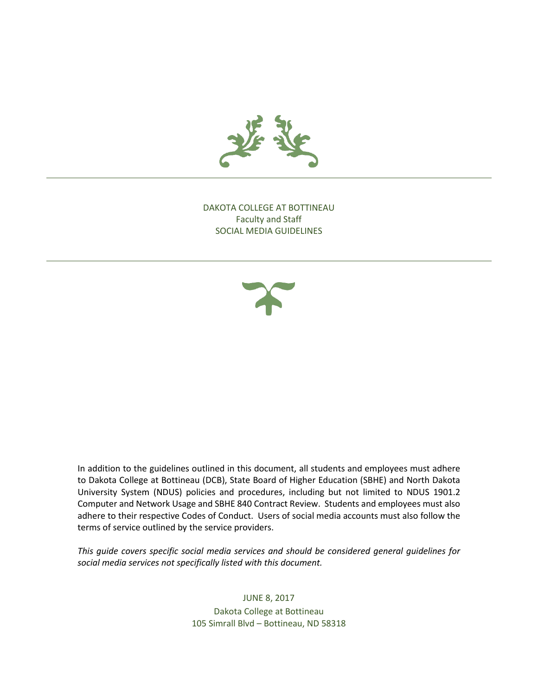

DAKOTA COLLEGE AT BOTTINEAU Faculty and Staff SOCIAL MEDIA GUIDELINES



In addition to the guidelines outlined in this document, all students and employees must adhere to Dakota College at Bottineau (DCB), State Board of Higher Education (SBHE) and North Dakota University System (NDUS) policies and procedures, including but not limited to NDUS 1901.2 Computer and Network Usage and SBHE 840 Contract Review. Students and employees must also adhere to their respective Codes of Conduct. Users of social media accounts must also follow the terms of service outlined by the service providers.

*This guide covers specific social media services and should be considered general guidelines for social media services not specifically listed with this document.* 

> JUNE 8, 2017 Dakota College at Bottineau 105 Simrall Blvd – Bottineau, ND 58318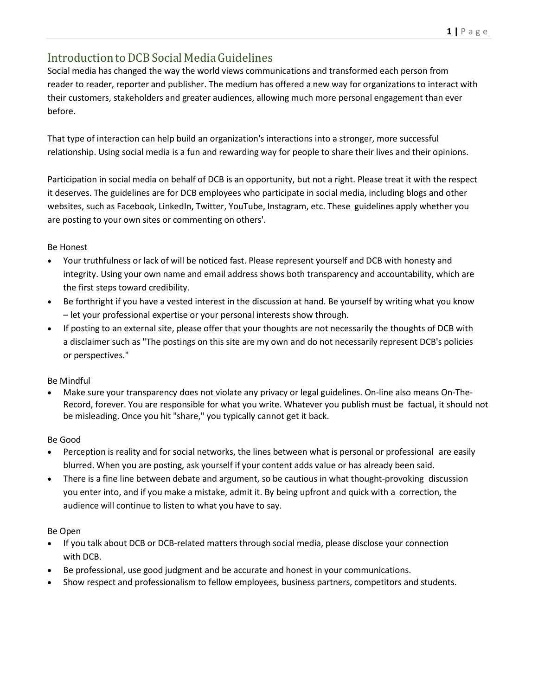## Introduction to DCB Social Media Guidelines

Social media has changed the way the world views communications and transformed each person from reader to reader, reporter and publisher. The medium has offered a new way for organizations to interact with their customers, stakeholders and greater audiences, allowing much more personal engagement than ever before.

That type of interaction can help build an organization's interactions into a stronger, more successful relationship. Using social media is a fun and rewarding way for people to share their lives and their opinions.

Participation in social media on behalf of DCB is an opportunity, but not a right. Please treat it with the respect it deserves. The guidelines are for DCB employees who participate in social media, including blogs and other websites, such as Facebook, LinkedIn, Twitter, YouTube, Instagram, etc. These guidelines apply whether you are posting to your own sites or commenting on others'.

## Be Honest

- Your truthfulness or lack of will be noticed fast. Please represent yourself and DCB with honesty and integrity. Using your own name and email address shows both transparency and accountability, which are the first steps toward credibility.
- Be forthright if you have a vested interest in the discussion at hand. Be yourself by writing what you know – let your professional expertise or your personal interests show through.
- If posting to an external site, please offer that your thoughts are not necessarily the thoughts of DCB with a disclaimer such as "The postings on this site are my own and do not necessarily represent DCB's policies or perspectives."

## Be Mindful

 Make sure your transparency does not violate any privacy or legal guidelines. On-line also means On-The-Record, forever. You are responsible for what you write. Whatever you publish must be factual, it should not be misleading. Once you hit "share," you typically cannot get it back.

## Be Good

- Perception is reality and for social networks, the lines between what is personal or professional are easily blurred. When you are posting, ask yourself if your content adds value or has already been said.
- There is a fine line between debate and argument, so be cautious in what thought-provoking discussion you enter into, and if you make a mistake, admit it. By being upfront and quick with a correction, the audience will continue to listen to what you have to say.

## Be Open

- If you talk about DCB or DCB-related matters through social media, please disclose your connection with DCB.
- Be professional, use good judgment and be accurate and honest in your communications.
- Show respect and professionalism to fellow employees, business partners, competitors and students.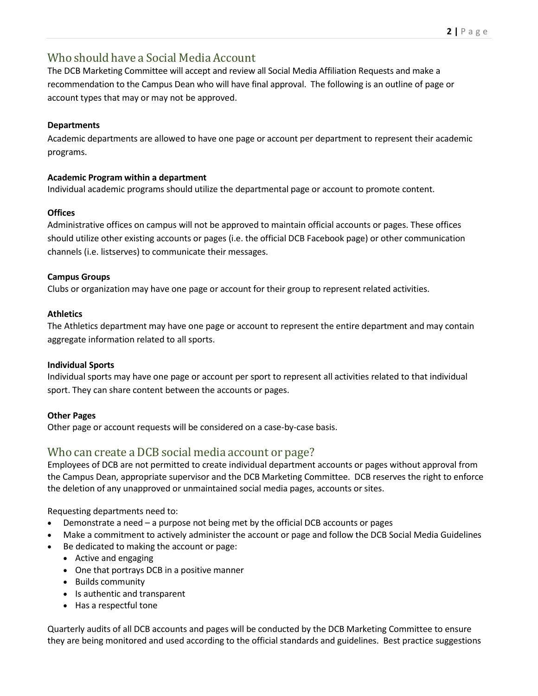## Who should have a Social Media Account

The DCB Marketing Committee will accept and review all Social Media Affiliation Requests and make a recommendation to the Campus Dean who will have final approval. The following is an outline of page or account types that may or may not be approved.

## **Departments**

Academic departments are allowed to have one page or account per department to represent their academic programs.

## **Academic Program within a department**

Individual academic programs should utilize the departmental page or account to promote content.

## **Offices**

Administrative offices on campus will not be approved to maintain official accounts or pages. These offices should utilize other existing accounts or pages (i.e. the official DCB Facebook page) or other communication channels (i.e. listserves) to communicate their messages.

## **Campus Groups**

Clubs or organization may have one page or account for their group to represent related activities.

## **Athletics**

The Athletics department may have one page or account to represent the entire department and may contain aggregate information related to all sports.

## **Individual Sports**

Individual sports may have one page or account per sport to represent all activities related to that individual sport. They can share content between the accounts or pages.

## **Other Pages**

Other page or account requests will be considered on a case-by-case basis.

## Who can create a DCB social media account or page?

Employees of DCB are not permitted to create individual department accounts or pages without approval from the Campus Dean, appropriate supervisor and the DCB Marketing Committee. DCB reserves the right to enforce the deletion of any unapproved or unmaintained social media pages, accounts or sites.

Requesting departments need to:

- Demonstrate a need a purpose not being met by the official DCB accounts or pages
- Make a commitment to actively administer the account or page and follow the DCB Social Media Guidelines
- Be dedicated to making the account or page:
	- Active and engaging
	- One that portrays DCB in a positive manner
	- Builds community
	- Is authentic and transparent
	- Has a respectful tone

Quarterly audits of all DCB accounts and pages will be conducted by the DCB Marketing Committee to ensure they are being monitored and used according to the official standards and guidelines. Best practice suggestions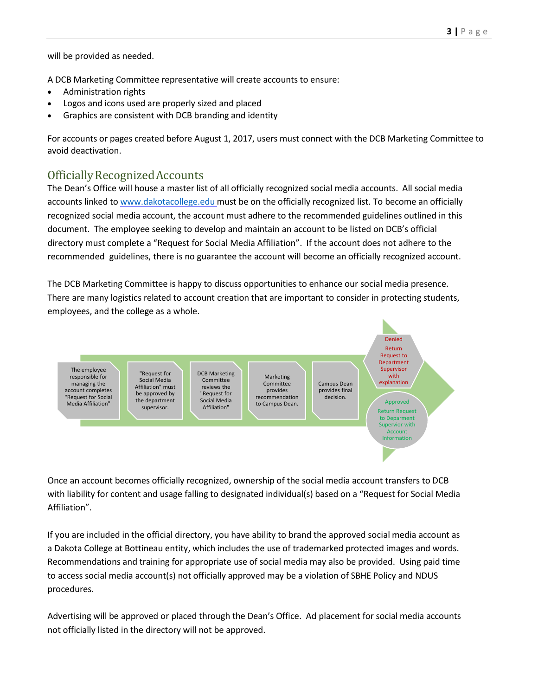will be provided as needed.

A DCB Marketing Committee representative will create accounts to ensure:

- Administration rights
- Logos and icons used are properly sized and placed
- Graphics are consistent with DCB branding and identity

For accounts or pages created before August 1, 2017, users must connect with the DCB Marketing Committee to avoid deactivation.

## OfficiallyRecognizedAccounts

The Dean's Office will house a master list of all officially recognized social media accounts. All social media accounts linked to www.dakotacollege.edu must be on the officially recognized list. To become an officially recognized social media account, the account must adhere to the recommended guidelines outlined in this document. The employee seeking to develop and maintain an account to be listed on DCB's official directory must complete a "Request for Social Media Affiliation". If the account does not adhere to the recommended guidelines, there is no guarantee the account will become an officially recognized account.

The DCB Marketing Committee is happy to discuss opportunities to enhance our social media presence. There are many logistics related to account creation that are important to consider in protecting students, employees, and the college as a whole.



Once an account becomes officially recognized, ownership of the social media account transfers to DCB with liability for content and usage falling to designated individual(s) based on a "Request for Social Media Affiliation".

If you are included in the official directory, you have ability to brand the approved social media account as a Dakota College at Bottineau entity, which includes the use of trademarked protected images and words. Recommendations and training for appropriate use of social media may also be provided. Using paid time to access social media account(s) not officially approved may be a violation of SBHE Policy and NDUS procedures.

Advertising will be approved or placed through the Dean's Office. Ad placement for social media accounts not officially listed in the directory will not be approved.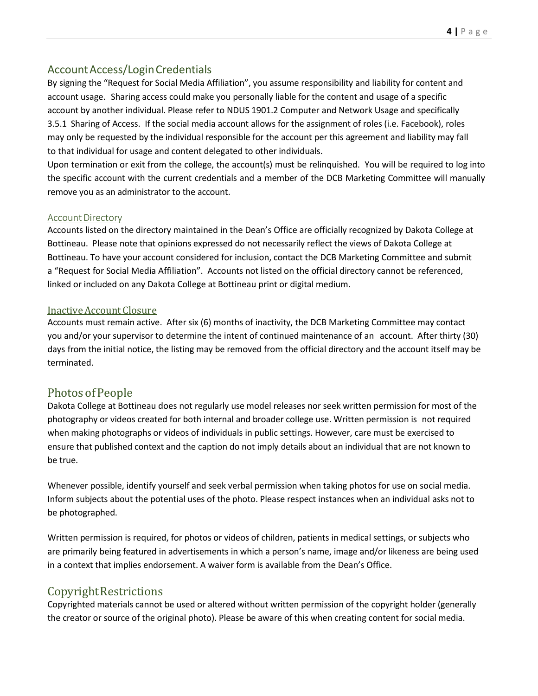## Account Access/Login Credentials

By signing the "Request for Social Media Affiliation", you assume responsibility and liability for content and account usage. Sharing access could make you personally liable for the content and usage of a specific account by another individual. Please refer to NDUS 1901.2 Computer and Network Usage and specifically 3.5.1 Sharing of Access. If the social media account allows for the assignment of roles (i.e. Facebook), roles may only be requested by the individual responsible for the account per this agreement and liability may fall to that individual for usage and content delegated to other individuals.

Upon termination or exit from the college, the account(s) must be relinquished. You will be required to log into the specific account with the current credentials and a member of the DCB Marketing Committee will manually remove you as an administrator to the account.

## Account Directory

Accounts listed on the directory maintained in the Dean's Office are officially recognized by Dakota College at Bottineau. Please note that opinions expressed do not necessarily reflect the views of Dakota College at Bottineau. To have your account considered for inclusion, contact the DCB Marketing Committee and submit a "Request for Social Media Affiliation". Accounts not listed on the official directory cannot be referenced, linked or included on any Dakota College at Bottineau print or digital medium.

## InactiveAccount Closure

Accounts must remain active. After six (6) months of inactivity, the DCB Marketing Committee may contact you and/or your supervisor to determine the intent of continued maintenance of an account. After thirty (30) days from the initial notice, the listing may be removed from the official directory and the account itself may be terminated.

## Photos of People

Dakota College at Bottineau does not regularly use model releases nor seek written permission for most of the photography or videos created for both internal and broader college use. Written permission is not required when making photographs or videos of individuals in public settings. However, care must be exercised to ensure that published context and the caption do not imply details about an individual that are not known to be true.

Whenever possible, identify yourself and seek verbal permission when taking photos for use on social media. Inform subjects about the potential uses of the photo. Please respect instances when an individual asks not to be photographed.

Written permission is required, for photos or videos of children, patients in medical settings, or subjects who are primarily being featured in advertisements in which a person's name, image and/or likeness are being used in a context that implies endorsement. A waiver form is available from the Dean's Office.

## CopyrightRestrictions

Copyrighted materials cannot be used or altered without written permission of the copyright holder (generally the creator or source of the original photo). Please be aware of this when creating content for social media.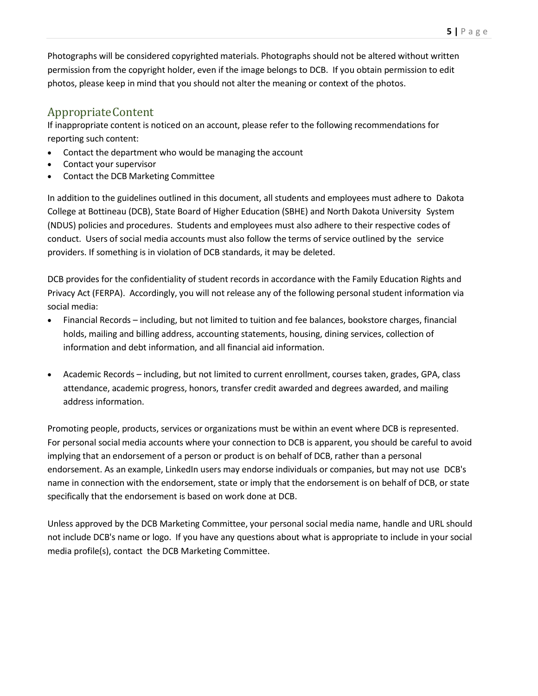Photographs will be considered copyrighted materials. Photographs should not be altered without written permission from the copyright holder, even if the image belongs to DCB. If you obtain permission to edit photos, please keep in mind that you should not alter the meaning or context of the photos.

# AppropriateContent

If inappropriate content is noticed on an account, please refer to the following recommendations for reporting such content:

- Contact the department who would be managing the account
- Contact your supervisor
- Contact the DCB Marketing Committee

In addition to the guidelines outlined in this document, all students and employees must adhere to Dakota College at Bottineau (DCB), State Board of Higher Education (SBHE) and North Dakota University System (NDUS) policies and procedures. Students and employees must also adhere to their respective codes of conduct. Users of social media accounts must also follow the terms of service outlined by the service providers. If something is in violation of DCB standards, it may be deleted.

DCB provides for the confidentiality of student records in accordance with the Family Education Rights and Privacy Act (FERPA). Accordingly, you will not release any of the following personal student information via social media:

- Financial Records including, but not limited to tuition and fee balances, bookstore charges, financial holds, mailing and billing address, accounting statements, housing, dining services, collection of information and debt information, and all financial aid information.
- Academic Records including, but not limited to current enrollment, courses taken, grades, GPA, class attendance, academic progress, honors, transfer credit awarded and degrees awarded, and mailing address information.

Promoting people, products, services or organizations must be within an event where DCB is represented. For personal social media accounts where your connection to DCB is apparent, you should be careful to avoid implying that an endorsement of a person or product is on behalf of DCB, rather than a personal endorsement. As an example, LinkedIn users may endorse individuals or companies, but may not use DCB's name in connection with the endorsement, state or imply that the endorsement is on behalf of DCB, or state specifically that the endorsement is based on work done at DCB.

Unless approved by the DCB Marketing Committee, your personal social media name, handle and URL should not include DCB's name or logo. If you have any questions about what is appropriate to include in your social media profile(s), contact the DCB Marketing Committee.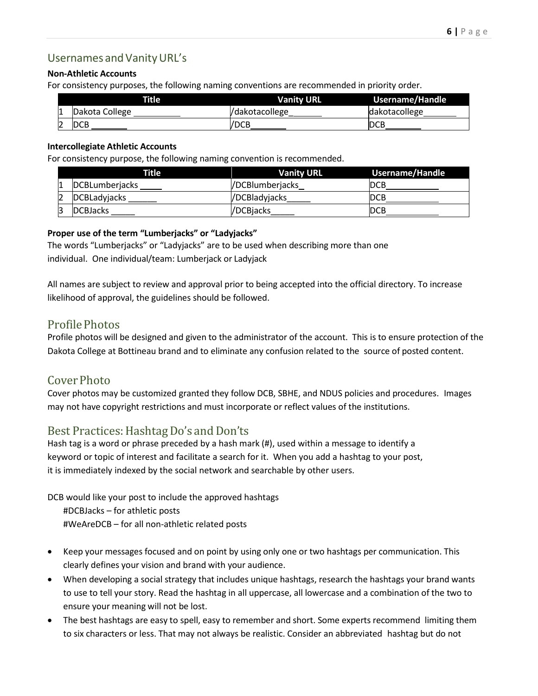## Usernames and Vanity URL's

#### **Non-Athletic Accounts**

For consistency purposes, the following naming conventions are recommended in priority order.

|   | Title          | <b>Vanity URL</b> | <b>Username/Handle</b> |  |  |
|---|----------------|-------------------|------------------------|--|--|
| L | Dakota College | l/dakotacollege   | dakotacollege          |  |  |
| Z | <b>IDCB</b>    | /DCB              | DCB                    |  |  |

#### **Intercollegiate Athletic Accounts**

For consistency purpose, the following naming convention is recommended.

|   | Title               | <b>Vanity URL</b> | <b>Username/Handle</b> |
|---|---------------------|-------------------|------------------------|
| 1 | DCBLumberjacks      | /DCBlumberjacks   | IDCB                   |
|   | <b>DCBLadyjacks</b> | /DCBladyjacks     | IDCB                   |
| З | <b>DCBJacks</b>     | /DCBiacks         | IDCB                   |

#### **Proper use of the term "Lumberjacks" or "Ladyjacks"**

The words "Lumberjacks" or "Ladyjacks" are to be used when describing more than one individual. One individual/team: Lumberjack or Ladyjack

All names are subject to review and approval prior to being accepted into the official directory. To increase likelihood of approval, the guidelines should be followed.

## ProfilePhotos

Profile photos will be designed and given to the administrator of the account. This is to ensure protection of the Dakota College at Bottineau brand and to eliminate any confusion related to the source of posted content.

## Cover Photo

Cover photos may be customized granted they follow DCB, SBHE, and NDUS policies and procedures. Images may not have copyright restrictions and must incorporate or reflect values of the institutions.

## Best Practices: Hashtag Do's and Don'ts

Hash tag is a word or phrase preceded by a hash mark (#), used within a message to identify a keyword or topic of interest and facilitate a search for it. When you add a hashtag to your post, it is immediately indexed by the social network and searchable by other users.

DCB would like your post to include the approved hashtags

#DCBJacks – for athletic posts #WeAreDCB – for all non-athletic related posts

- Keep your messages focused and on point by using only one or two hashtags per communication. This clearly defines your vision and brand with your audience.
- When developing a social strategy that includes unique hashtags, research the hashtags your brand wants to use to tell your story. Read the hashtag in all uppercase, all lowercase and a combination of the two to ensure your meaning will not be lost.
- The best hashtags are easy to spell, easy to remember and short. Some experts recommend limiting them to six characters or less. That may not always be realistic. Consider an abbreviated hashtag but do not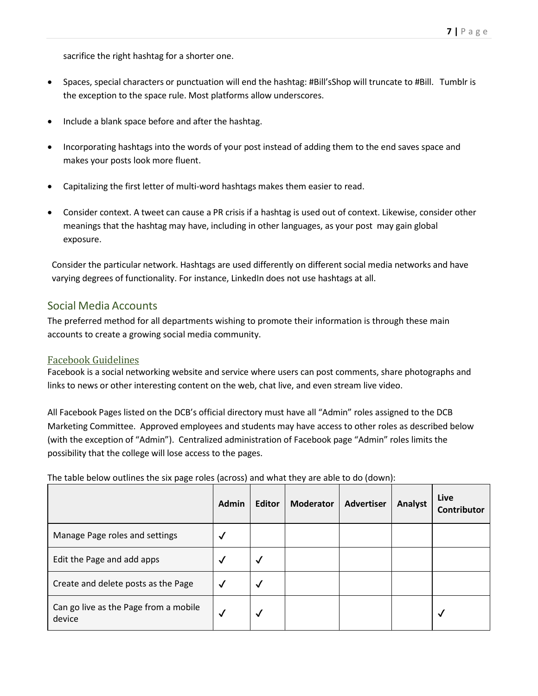sacrifice the right hashtag for a shorter one.

- Spaces, special characters or punctuation will end the hashtag: #Bill'sShop will truncate to #Bill. Tumblr is the exception to the space rule. Most platforms allow underscores.
- Include a blank space before and after the hashtag.
- Incorporating hashtags into the words of your post instead of adding them to the end saves space and makes your posts look more fluent.
- Capitalizing the first letter of multi-word hashtags makes them easier to read.
- Consider context. A tweet can cause a PR crisis if a hashtag is used out of context. Likewise, consider other meanings that the hashtag may have, including in other languages, as your post may gain global exposure.

Consider the particular network. Hashtags are used differently on different social media networks and have varying degrees of functionality. For instance, LinkedIn does not use hashtags at all.

## Social Media Accounts

The preferred method for all departments wishing to promote their information is through these main accounts to create a growing social media community.

## Facebook Guidelines

Facebook is a social networking website and service where users can post comments, share photographs and links to news or other interesting content on the web, chat live, and even stream live video.

All Facebook Pages listed on the DCB's official directory must have all "Admin" roles assigned to the DCB Marketing Committee. Approved employees and students may have access to other roles as described below (with the exception of "Admin"). Centralized administration of Facebook page "Admin" roles limits the possibility that the college will lose access to the pages.

The table below outlines the six page roles (across) and what they are able to do (down):

|                                                 | <b>Admin</b> | <b>Editor</b> | <b>Moderator</b> | <b>Advertiser</b> | Analyst | Live<br>Contributor |
|-------------------------------------------------|--------------|---------------|------------------|-------------------|---------|---------------------|
| Manage Page roles and settings                  | √            |               |                  |                   |         |                     |
| Edit the Page and add apps                      | √            | √             |                  |                   |         |                     |
| Create and delete posts as the Page             | √            | √             |                  |                   |         |                     |
| Can go live as the Page from a mobile<br>device | $\checkmark$ | √             |                  |                   |         | √                   |